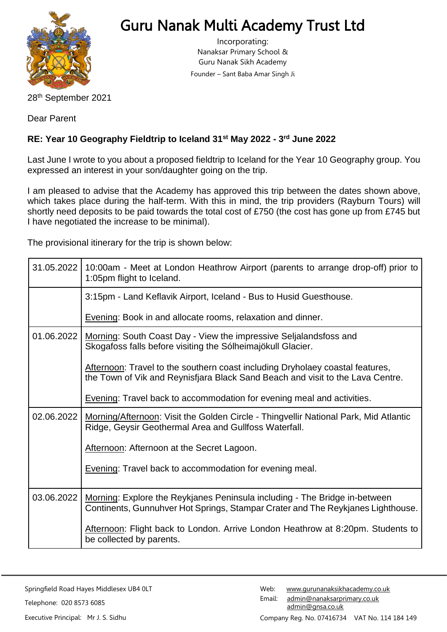

## Guru Nanak Multi Academy Trust Ltd

Incorporating: Nanaksar Primary School & Guru Nanak Sikh Academy Founder – Sant Baba Amar Singh Ji

28th September 2021

Dear Parent

## **RE: Year 10 Geography Fieldtrip to Iceland 31st May 2022 - 3 rd June 2022**

Last June I wrote to you about a proposed fieldtrip to Iceland for the Year 10 Geography group. You expressed an interest in your son/daughter going on the trip.

I am pleased to advise that the Academy has approved this trip between the dates shown above, which takes place during the half-term. With this in mind, the trip providers (Rayburn Tours) will shortly need deposits to be paid towards the total cost of £750 (the cost has gone up from £745 but I have negotiated the increase to be minimal).

The provisional itinerary for the trip is shown below:

| 31.05.2022 | 10:00am - Meet at London Heathrow Airport (parents to arrange drop-off) prior to<br>1:05pm flight to Iceland.                                                                               |  |
|------------|---------------------------------------------------------------------------------------------------------------------------------------------------------------------------------------------|--|
|            | 3:15pm - Land Keflavik Airport, Iceland - Bus to Husid Guesthouse.                                                                                                                          |  |
|            | Evening: Book in and allocate rooms, relaxation and dinner.                                                                                                                                 |  |
| 01.06.2022 | Morning: South Coast Day - View the impressive Seljalandsfoss and<br>Skogafoss falls before visiting the Sólheimajökull Glacier.                                                            |  |
|            | Afternoon: Travel to the southern coast including Dryholaey coastal features,<br>the Town of Vik and Reynisfjara Black Sand Beach and visit to the Lava Centre.                             |  |
|            | <b>Evening: Travel back to accommodation for evening meal and activities.</b>                                                                                                               |  |
| 02.06.2022 | Morning/Afternoon: Visit the Golden Circle - Thingvellir National Park, Mid Atlantic<br>Ridge, Geysir Geothermal Area and Gullfoss Waterfall.<br>Afternoon: Afternoon at the Secret Lagoon. |  |
|            |                                                                                                                                                                                             |  |
|            | <b>Evening: Travel back to accommodation for evening meal.</b>                                                                                                                              |  |
| 03.06.2022 | Morning: Explore the Reykjanes Peninsula including - The Bridge in-between<br>Continents, Gunnuhver Hot Springs, Stampar Crater and The Reykjanes Lighthouse.                               |  |
|            | Afternoon: Flight back to London. Arrive London Heathrow at 8:20pm. Students to<br>be collected by parents.                                                                                 |  |

Springfield Road Hayes Middlesex UB4 0LT Telephone: 020 8573 6085 Executive Principal: Mr J. S. Sidhu